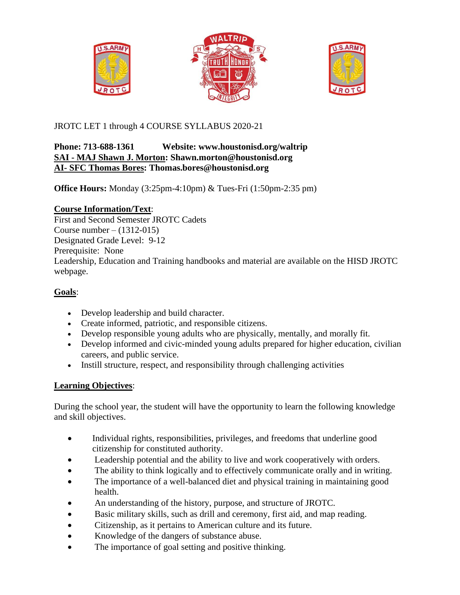





JROTC LET 1 through 4 COURSE SYLLABUS 2020-21

## **Phone: 713-688-1361 Website: www.houstonisd.org/waltrip SAI - MAJ Shawn J. Morton: Shawn.morton@houstonisd.org AI- SFC Thomas Bores: Thomas.bores@houstonisd.org**

**Office Hours:** Monday (3:25pm-4:10pm) & Tues-Fri (1:50pm-2:35 pm)

## **Course Information/Text**:

First and Second Semester JROTC Cadets Course number –  $(1312-015)$ Designated Grade Level: 9-12 Prerequisite: None Leadership, Education and Training handbooks and material are available on the HISD JROTC webpage.

# **Goals**:

- Develop leadership and build character.
- Create informed, patriotic, and responsible citizens.
- Develop responsible young adults who are physically, mentally, and morally fit.
- Develop informed and civic-minded young adults prepared for higher education, civilian careers, and public service.
- Instill structure, respect, and responsibility through challenging activities

# **Learning Objectives**:

During the school year, the student will have the opportunity to learn the following knowledge and skill objectives.

- Individual rights, responsibilities, privileges, and freedoms that underline good citizenship for constituted authority.
- Leadership potential and the ability to live and work cooperatively with orders.
- The ability to think logically and to effectively communicate orally and in writing.
- The importance of a well-balanced diet and physical training in maintaining good health.
- An understanding of the history, purpose, and structure of JROTC.
- Basic military skills, such as drill and ceremony, first aid, and map reading.
- Citizenship, as it pertains to American culture and its future.
- Knowledge of the dangers of substance abuse.
- The importance of goal setting and positive thinking.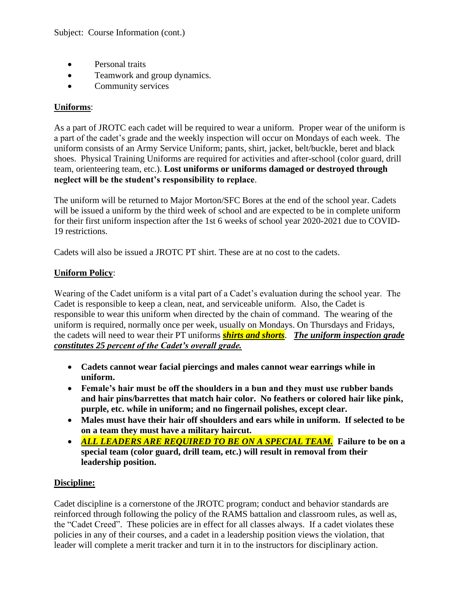- Personal traits
- Teamwork and group dynamics.
- Community services

## **Uniforms**:

As a part of JROTC each cadet will be required to wear a uniform. Proper wear of the uniform is a part of the cadet's grade and the weekly inspection will occur on Mondays of each week. The uniform consists of an Army Service Uniform; pants, shirt, jacket, belt/buckle, beret and black shoes. Physical Training Uniforms are required for activities and after-school (color guard, drill team, orienteering team, etc.). **Lost uniforms or uniforms damaged or destroyed through neglect will be the student's responsibility to replace**.

The uniform will be returned to Major Morton/SFC Bores at the end of the school year. Cadets will be issued a uniform by the third week of school and are expected to be in complete uniform for their first uniform inspection after the 1st 6 weeks of school year 2020-2021 due to COVID-19 restrictions.

Cadets will also be issued a JROTC PT shirt. These are at no cost to the cadets.

## **Uniform Policy**:

Wearing of the Cadet uniform is a vital part of a Cadet's evaluation during the school year. The Cadet is responsible to keep a clean, neat, and serviceable uniform. Also, the Cadet is responsible to wear this uniform when directed by the chain of command. The wearing of the uniform is required, normally once per week, usually on Mondays. On Thursdays and Fridays, the cadets will need to wear their PT uniforms *shirts and shorts*. *The uniform inspection grade constitutes 25 percent of the Cadet's overall grade.*

- **Cadets cannot wear facial piercings and males cannot wear earrings while in uniform.**
- **Female's hair must be off the shoulders in a bun and they must use rubber bands and hair pins/barrettes that match hair color. No feathers or colored hair like pink, purple, etc. while in uniform; and no fingernail polishes, except clear.**
- **Males must have their hair off shoulders and ears while in uniform. If selected to be on a team they must have a military haircut.**
- *ALL LEADERS ARE REQUIRED TO BE ON A SPECIAL TEAM.* **Failure to be on a special team (color guard, drill team, etc.) will result in removal from their leadership position.**

## **Discipline:**

Cadet discipline is a cornerstone of the JROTC program; conduct and behavior standards are reinforced through following the policy of the RAMS battalion and classroom rules, as well as, the "Cadet Creed". These policies are in effect for all classes always. If a cadet violates these policies in any of their courses, and a cadet in a leadership position views the violation, that leader will complete a merit tracker and turn it in to the instructors for disciplinary action.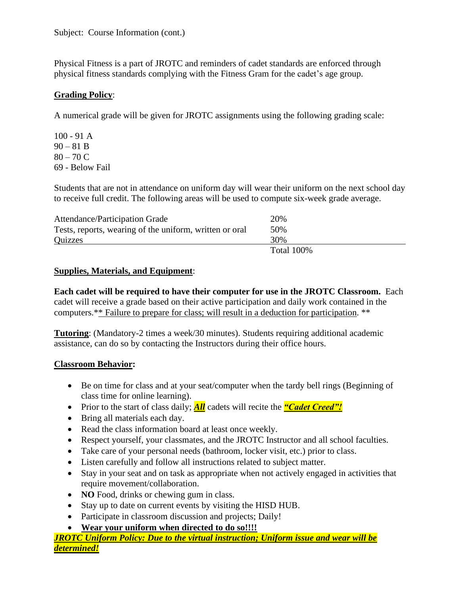Physical Fitness is a part of JROTC and reminders of cadet standards are enforced through physical fitness standards complying with the Fitness Gram for the cadet's age group.

## **Grading Policy**:

A numerical grade will be given for JROTC assignments using the following grading scale:

100 - 91 A  $90 - 81 B$  $80 - 70 C$ 69 - Below Fail

Students that are not in attendance on uniform day will wear their uniform on the next school day to receive full credit. The following areas will be used to compute six-week grade average.

| Attendance/Participation Grade                          | 20%        |
|---------------------------------------------------------|------------|
| Tests, reports, wearing of the uniform, written or oral | 50%        |
| Quizzes                                                 | 30%        |
|                                                         | Total 100% |

## **Supplies, Materials, and Equipment**:

**Each cadet will be required to have their computer for use in the JROTC Classroom.** Each cadet will receive a grade based on their active participation and daily work contained in the computers.\*\* Failure to prepare for class; will result in a deduction for participation. \*\*

**Tutoring**: (Mandatory-2 times a week/30 minutes). Students requiring additional academic assistance, can do so by contacting the Instructors during their office hours.

## **Classroom Behavior:**

- Be on time for class and at your seat/computer when the tardy bell rings (Beginning of class time for online learning).
- Prior to the start of class daily; **All** cadets will recite the **"Cadet Creed"!**
- Bring all materials each day.
- Read the class information board at least once weekly.
- Respect yourself, your classmates, and the JROTC Instructor and all school faculties.
- Take care of your personal needs (bathroom, locker visit, etc.) prior to class.
- Listen carefully and follow all instructions related to subject matter.
- Stay in your seat and on task as appropriate when not actively engaged in activities that require movement/collaboration.
- **NO** Food, drinks or chewing gum in class.
- Stay up to date on current events by visiting the HISD HUB.
- Participate in classroom discussion and projects; Daily!
- **Wear your uniform when directed to do so!!!!**

*JROTC Uniform Policy: Due to the virtual instruction; Uniform issue and wear will be determined!*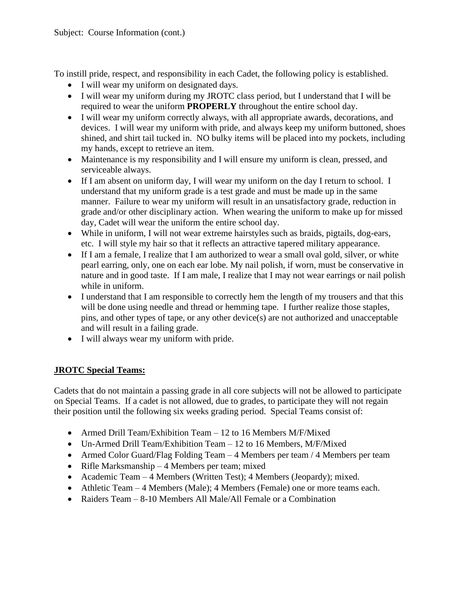To instill pride, respect, and responsibility in each Cadet, the following policy is established.

- I will wear my uniform on designated days.
- I will wear my uniform during my JROTC class period, but I understand that I will be required to wear the uniform **PROPERLY** throughout the entire school day.
- I will wear my uniform correctly always, with all appropriate awards, decorations, and devices. I will wear my uniform with pride, and always keep my uniform buttoned, shoes shined, and shirt tail tucked in. NO bulky items will be placed into my pockets, including my hands, except to retrieve an item.
- Maintenance is my responsibility and I will ensure my uniform is clean, pressed, and serviceable always.
- If I am absent on uniform day, I will wear my uniform on the day I return to school. I understand that my uniform grade is a test grade and must be made up in the same manner. Failure to wear my uniform will result in an unsatisfactory grade, reduction in grade and/or other disciplinary action. When wearing the uniform to make up for missed day, Cadet will wear the uniform the entire school day.
- While in uniform, I will not wear extreme hairstyles such as braids, pigtails, dog-ears, etc. I will style my hair so that it reflects an attractive tapered military appearance.
- If I am a female, I realize that I am authorized to wear a small oval gold, silver, or white pearl earring, only, one on each ear lobe. My nail polish, if worn, must be conservative in nature and in good taste. If I am male, I realize that I may not wear earrings or nail polish while in uniform.
- I understand that I am responsible to correctly hem the length of my trousers and that this will be done using needle and thread or hemming tape. I further realize those staples, pins, and other types of tape, or any other device(s) are not authorized and unacceptable and will result in a failing grade.
- I will always wear my uniform with pride.

## **JROTC Special Teams:**

Cadets that do not maintain a passing grade in all core subjects will not be allowed to participate on Special Teams. If a cadet is not allowed, due to grades, to participate they will not regain their position until the following six weeks grading period. Special Teams consist of:

- Armed Drill Team/Exhibition Team 12 to 16 Members M/F/Mixed
- Un-Armed Drill Team/Exhibition Team 12 to 16 Members, M/F/Mixed
- Armed Color Guard/Flag Folding Team 4 Members per team / 4 Members per team
- Rifle Marksmanship 4 Members per team; mixed
- Academic Team 4 Members (Written Test); 4 Members (Jeopardy); mixed.
- Athletic Team 4 Members (Male); 4 Members (Female) one or more teams each.
- Raiders Team 8-10 Members All Male/All Female or a Combination